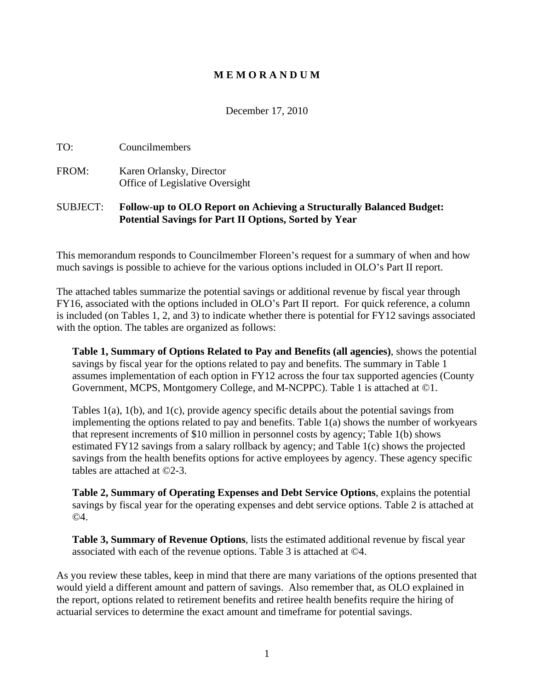### **M E M O R A N D U M**

December 17, 2010

TO: Councilmembers

FROM: Karen Orlansky, Director Office of Legislative Oversight

### SUBJECT: **Follow-up to OLO Report on Achieving a Structurally Balanced Budget: Potential Savings for Part II Options, Sorted by Year**

This memorandum responds to Councilmember Floreen's request for a summary of when and how much savings is possible to achieve for the various options included in OLO's Part II report.

The attached tables summarize the potential savings or additional revenue by fiscal year through FY16, associated with the options included in OLO's Part II report. For quick reference, a column is included (on Tables 1, 2, and 3) to indicate whether there is potential for FY12 savings associated with the option. The tables are organized as follows:

**Table 1, Summary of Options Related to Pay and Benefits (all agencies)**, shows the potential savings by fiscal year for the options related to pay and benefits. The summary in Table 1 assumes implementation of each option in FY12 across the four tax supported agencies (County Government, MCPS, Montgomery College, and M-NCPPC). Table 1 is attached at ©1.

Tables 1(a), 1(b), and 1(c), provide agency specific details about the potential savings from implementing the options related to pay and benefits. Table 1(a) shows the number of workyears that represent increments of \$10 million in personnel costs by agency; Table 1(b) shows estimated FY12 savings from a salary rollback by agency; and Table 1(c) shows the projected savings from the health benefits options for active employees by agency. These agency specific tables are attached at ©2-3.

**Table 2, Summary of Operating Expenses and Debt Service Options**, explains the potential savings by fiscal year for the operating expenses and debt service options. Table 2 is attached at ©4.

**Table 3, Summary of Revenue Options**, lists the estimated additional revenue by fiscal year associated with each of the revenue options. Table 3 is attached at ©4.

As you review these tables, keep in mind that there are many variations of the options presented that would yield a different amount and pattern of savings. Also remember that, as OLO explained in the report, options related to retirement benefits and retiree health benefits require the hiring of actuarial services to determine the exact amount and timeframe for potential savings.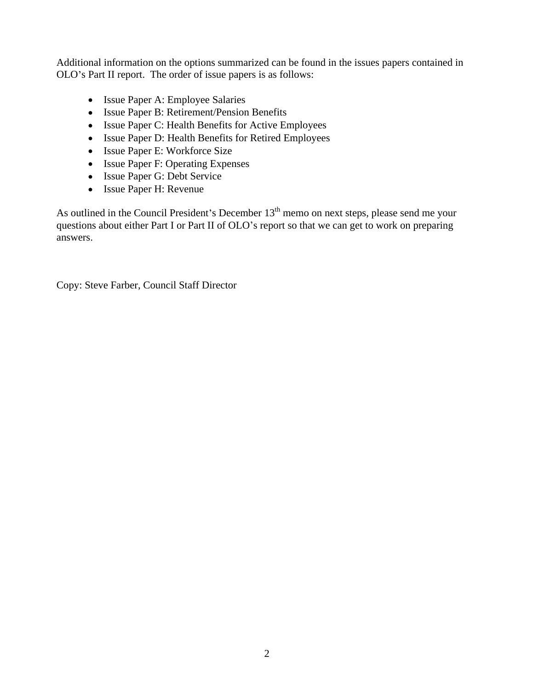Additional information on the options summarized can be found in the issues papers contained in OLO's Part II report. The order of issue papers is as follows:

- Issue Paper A: Employee Salaries
- Issue Paper B: Retirement/Pension Benefits
- Issue Paper C: Health Benefits for Active Employees
- Issue Paper D: Health Benefits for Retired Employees
- Issue Paper E: Workforce Size
- Issue Paper F: Operating Expenses
- Issue Paper G: Debt Service
- Issue Paper H: Revenue

As outlined in the Council President's December  $13<sup>th</sup>$  memo on next steps, please send me your questions about either Part I or Part II of OLO's report so that we can get to work on preparing answers.

Copy: Steve Farber, Council Staff Director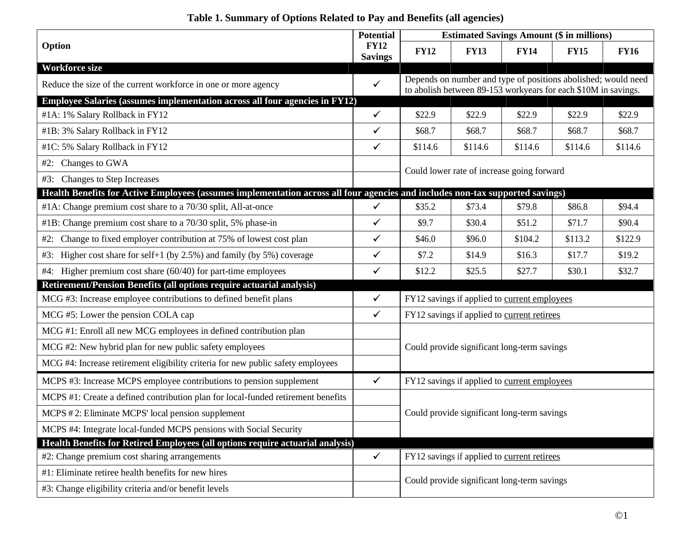|                                                                                                                               | Potential                     |             |             |                                              | <b>Estimated Savings Amount (\$ in millions)</b>               |                                                               |
|-------------------------------------------------------------------------------------------------------------------------------|-------------------------------|-------------|-------------|----------------------------------------------|----------------------------------------------------------------|---------------------------------------------------------------|
| Option                                                                                                                        | <b>FY12</b><br><b>Savings</b> | <b>FY12</b> | <b>FY13</b> | <b>FY14</b>                                  | <b>FY15</b>                                                    | <b>FY16</b>                                                   |
| <b>Workforce size</b>                                                                                                         |                               |             |             |                                              |                                                                |                                                               |
| Reduce the size of the current workforce in one or more agency                                                                |                               |             |             |                                              | to abolish between 89-153 workyears for each \$10M in savings. | Depends on number and type of positions abolished; would need |
| Employee Salaries (assumes implementation across all four agencies in FY12)                                                   |                               |             |             |                                              |                                                                |                                                               |
| #1A: 1% Salary Rollback in FY12                                                                                               |                               | \$22.9      | \$22.9      | \$22.9                                       | \$22.9                                                         | \$22.9                                                        |
| #1B: 3% Salary Rollback in FY12                                                                                               |                               | \$68.7      | \$68.7      | \$68.7                                       | \$68.7                                                         | \$68.7                                                        |
| #1C: 5% Salary Rollback in FY12                                                                                               |                               | \$114.6     | \$114.6     | \$114.6                                      | \$114.6                                                        | \$114.6                                                       |
| #2: Changes to GWA                                                                                                            |                               |             |             |                                              |                                                                |                                                               |
| #3: Changes to Step Increases                                                                                                 |                               |             |             | Could lower rate of increase going forward   |                                                                |                                                               |
| Health Benefits for Active Employees (assumes implementation across all four agencies and includes non-tax supported savings) |                               |             |             |                                              |                                                                |                                                               |
| #1A: Change premium cost share to a 70/30 split, All-at-once                                                                  |                               | \$35.2      | \$73.4      | \$79.8                                       | \$86.8                                                         | \$94.4                                                        |
| #1B: Change premium cost share to a 70/30 split, 5% phase-in                                                                  |                               | \$9.7       | \$30.4      | \$51.2                                       | \$71.7                                                         | \$90.4                                                        |
| #2: Change to fixed employer contribution at 75% of lowest cost plan                                                          |                               | \$46.0      | \$96.0      | \$104.2                                      | \$113.2                                                        | \$122.9                                                       |
| #3: Higher cost share for self+1 (by 2.5%) and family (by 5%) coverage                                                        | $\checkmark$                  | \$7.2       | \$14.9      | \$16.3                                       | \$17.7                                                         | \$19.2                                                        |
| #4: Higher premium cost share (60/40) for part-time employees                                                                 |                               | \$12.2      | \$25.5      | \$27.7                                       | \$30.1                                                         | \$32.7                                                        |
| Retirement/Pension Benefits (all options require actuarial analysis)                                                          |                               |             |             |                                              |                                                                |                                                               |
| MCG #3: Increase employee contributions to defined benefit plans                                                              |                               |             |             | FY12 savings if applied to current employees |                                                                |                                                               |
| MCG #5: Lower the pension COLA cap                                                                                            |                               |             |             | FY12 savings if applied to current retirees  |                                                                |                                                               |
| MCG #1: Enroll all new MCG employees in defined contribution plan                                                             |                               |             |             |                                              |                                                                |                                                               |
| MCG #2: New hybrid plan for new public safety employees                                                                       |                               |             |             | Could provide significant long-term savings  |                                                                |                                                               |
| MCG #4: Increase retirement eligibility criteria for new public safety employees                                              |                               |             |             |                                              |                                                                |                                                               |
| MCPS #3: Increase MCPS employee contributions to pension supplement                                                           |                               |             |             | FY12 savings if applied to current employees |                                                                |                                                               |
| MCPS #1: Create a defined contribution plan for local-funded retirement benefits                                              |                               |             |             |                                              |                                                                |                                                               |
| MCPS #2: Eliminate MCPS' local pension supplement                                                                             |                               |             |             | Could provide significant long-term savings  |                                                                |                                                               |
| MCPS #4: Integrate local-funded MCPS pensions with Social Security                                                            |                               |             |             |                                              |                                                                |                                                               |
| Health Benefits for Retired Employees (all options require actuarial analysis)                                                |                               |             |             |                                              |                                                                |                                                               |
| #2: Change premium cost sharing arrangements                                                                                  | $\checkmark$                  |             |             | FY12 savings if applied to current retirees  |                                                                |                                                               |
| #1: Eliminate retiree health benefits for new hires                                                                           |                               |             |             |                                              |                                                                |                                                               |
| #3: Change eligibility criteria and/or benefit levels                                                                         |                               |             |             | Could provide significant long-term savings  |                                                                |                                                               |

# **Table 1. Summary of Options Related to Pay and Benefits (all agencies)**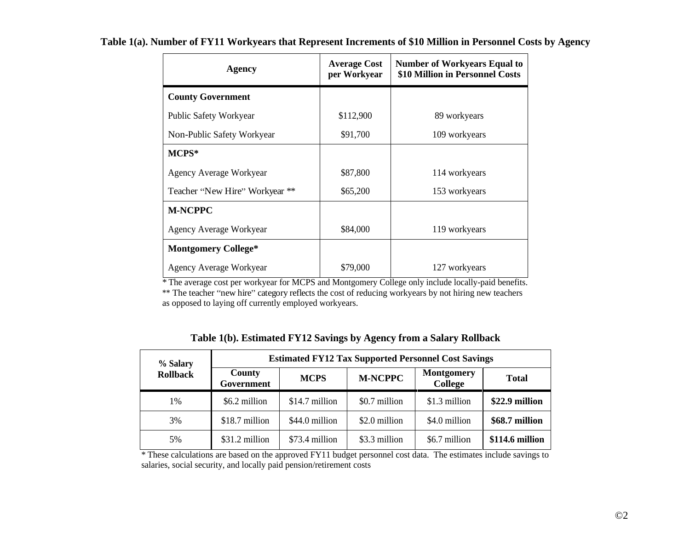| Agency                         | <b>Average Cost</b><br>per Workyear | Number of Workyears Equal to<br>\$10 Million in Personnel Costs |
|--------------------------------|-------------------------------------|-----------------------------------------------------------------|
| <b>County Government</b>       |                                     |                                                                 |
| Public Safety Workyear         | \$112,900                           | 89 workyears                                                    |
| Non-Public Safety Workyear     | \$91,700                            | 109 workyears                                                   |
| $MCPS*$                        |                                     |                                                                 |
| Agency Average Workyear        | \$87,800                            | 114 workyears                                                   |
| Teacher "New Hire" Workyear ** | \$65,200                            | 153 workyears                                                   |
| <b>M-NCPPC</b>                 |                                     |                                                                 |
| Agency Average Workyear        | \$84,000                            | 119 workyears                                                   |
| <b>Montgomery College*</b>     |                                     |                                                                 |
| Agency Average Workyear        | \$79,000                            | 127 workyears                                                   |

#### **Table 1(a). Number of FY11 Workyears that Represent Increments of \$10 Million in Personnel Costs by Agency** <u> 1989 - Johann Stoff, deutscher Stoff, der Stoff, der Stoff, der Stoff, der Stoff, der Stoff, der Stoff, der S</u>

\* The average cost per workyear for MCPS and Montgomery College only include locally-paid benefits. \*\* The teacher "new hire" category reflects the cost of reducing workyears by not hiring new teachers as opposed to laying off currently employed workyears.

| % Salary        |                      |                |                | <b>Estimated FY12 Tax Supported Personnel Cost Savings</b> |                 |
|-----------------|----------------------|----------------|----------------|------------------------------------------------------------|-----------------|
| <b>Rollback</b> | County<br>Government | <b>MCPS</b>    | <b>M-NCPPC</b> | Montgomery<br>College                                      | <b>Total</b>    |
|                 | \$6.2 million        | \$14.7 million | \$0.7 million  | $$1.3$ million                                             | \$22.9 million  |
| 3%              | \$18.7 million       | \$44.0 million | \$2.0 million  | \$4.0 million                                              | \$68.7 million  |
| 5%              | \$31.2 million       | \$73.4 million | \$3.3 million  | \$6.7 million                                              | \$114.6 million |

#### **Table 1(b). Estimated FY12 Savings by Agency from a Salary Rollback**

\* These calculations are based on the approved FY11 budget personnel cost data. The estimates include savings to salaries, social security, and locally paid pension/retirement costs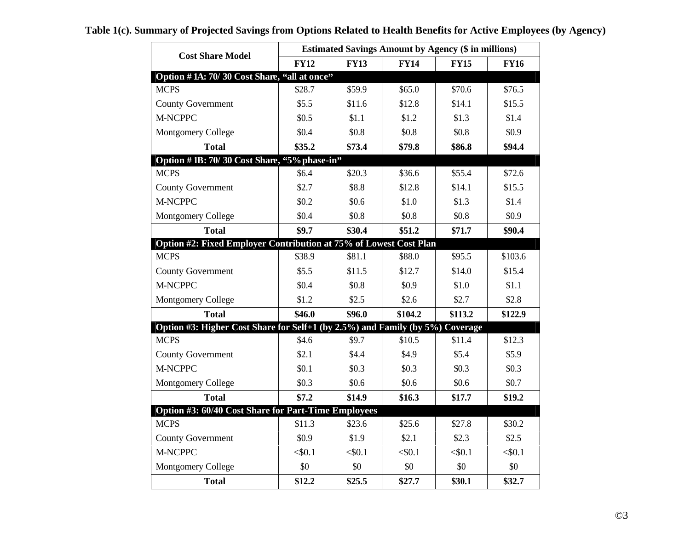| <b>Cost Share Model</b>                                                       |             |             | <b>Estimated Savings Amount by Agency (\$ in millions)</b> |             |             |
|-------------------------------------------------------------------------------|-------------|-------------|------------------------------------------------------------|-------------|-------------|
|                                                                               | <b>FY12</b> | <b>FY13</b> | <b>FY14</b>                                                | <b>FY15</b> | <b>FY16</b> |
| Option #1A: 70/30 Cost Share, "all at once"                                   |             |             |                                                            |             |             |
| <b>MCPS</b>                                                                   | \$28.7      | \$59.9      | \$65.0                                                     | \$70.6      | \$76.5      |
| County Government                                                             | \$5.5       | \$11.6      | \$12.8                                                     | \$14.1      | \$15.5      |
| M-NCPPC                                                                       | \$0.5       | \$1.1       | \$1.2                                                      | \$1.3       | \$1.4       |
| <b>Montgomery College</b>                                                     | \$0.4       | \$0.8       | \$0.8\$                                                    | \$0.8\$     | \$0.9       |
| <b>Total</b>                                                                  | \$35.2      | \$73.4      | \$79.8                                                     | \$86.8      | \$94.4      |
| Option # 1B: 70/30 Cost Share, "5% phase-in"                                  |             |             |                                                            |             |             |
| <b>MCPS</b>                                                                   | \$6.4       | \$20.3\$    | \$36.6                                                     | \$55.4      | \$72.6      |
| County Government                                                             | \$2.7       | \$8.8       | \$12.8                                                     | \$14.1      | \$15.5      |
| M-NCPPC                                                                       | \$0.2\$     | \$0.6       | \$1.0                                                      | \$1.3       | \$1.4       |
| <b>Montgomery College</b>                                                     | \$0.4       | \$0.8       | \$0.8                                                      | \$0.8\$     | \$0.9       |
| <b>Total</b>                                                                  | \$9.7       | \$30.4      | \$51.2                                                     | \$71.7      | \$90.4      |
| Option #2: Fixed Employer Contribution at 75% of Lowest Cost Plan             |             |             |                                                            |             |             |
| <b>MCPS</b>                                                                   | \$38.9      | \$81.1      | \$88.0                                                     | \$95.5      | \$103.6     |
| County Government                                                             | \$5.5       | \$11.5      | \$12.7                                                     | \$14.0      | \$15.4      |
| M-NCPPC                                                                       | \$0.4       | \$0.8\$     | \$0.9                                                      | \$1.0       | \$1.1       |
| Montgomery College                                                            | \$1.2       | \$2.5       | \$2.6                                                      | \$2.7       | \$2.8       |
| <b>Total</b>                                                                  | \$46.0      | \$96.0      | \$104.2                                                    | \$113.2     | \$122.9     |
| Option #3: Higher Cost Share for Self+1 (by 2.5%) and Family (by 5%) Coverage |             |             |                                                            |             |             |
| <b>MCPS</b>                                                                   | \$4.6       | \$9.7       | \$10.5                                                     | \$11.4      | \$12.3      |
| County Government                                                             | \$2.1       | \$4.4       | \$4.9                                                      | \$5.4       | \$5.9       |
| M-NCPPC                                                                       | \$0.1       | \$0.3\$     | \$0.3\$                                                    | \$0.3\$     | \$0.3\$     |
| Montgomery College                                                            | \$0.3\$     | \$0.6       | \$0.6                                                      | \$0.6\$     | \$0.7       |
| <b>Total</b>                                                                  | \$7.2       | \$14.9      | \$16.3                                                     | \$17.7      | \$19.2\$    |
| Option #3: 60/40 Cost Share for Part-Time Employees                           |             |             |                                                            |             |             |
| <b>MCPS</b>                                                                   | \$11.3      | \$23.6      | \$25.6                                                     | \$27.8      | \$30.2      |
| County Government                                                             | \$0.9       | \$1.9       | \$2.1                                                      | \$2.3       | \$2.5       |
| M-NCPPC                                                                       | $<$ \$0.1   | < 0.1       | < 0.1                                                      | $<$ \$0.1   | $<$ \$0.1   |
| Montgomery College                                                            | $\$0$       | \$0         | \$0                                                        | \$0         | \$0         |
| <b>Total</b>                                                                  | \$12.2      | \$25.5      | \$27.7                                                     | \$30.1      | \$32.7      |

## **Table 1(c). Summary of Projected Savings from Options Related to Health Benefits for Active Employees (by Agency)**